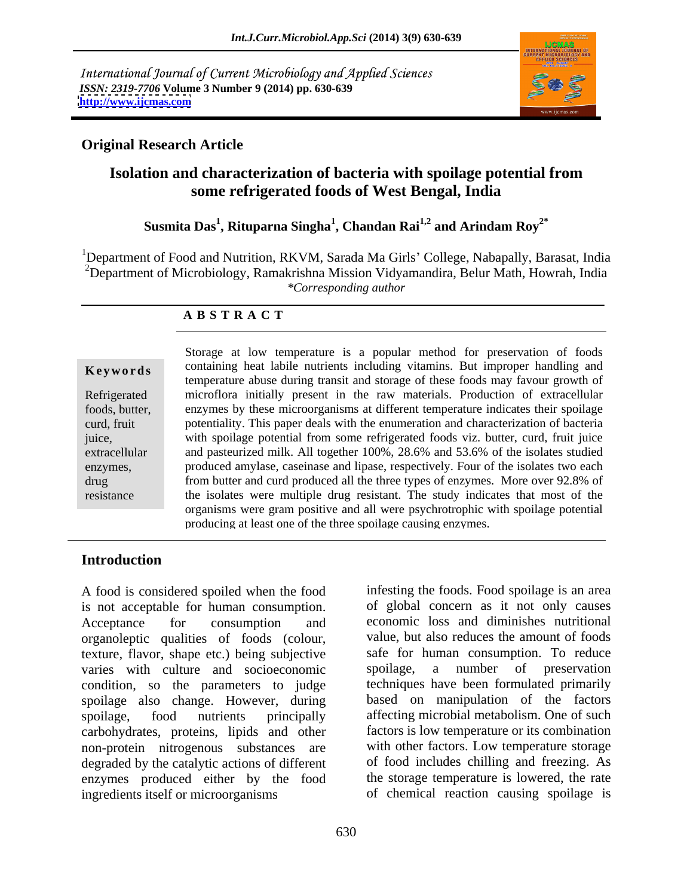International Journal of Current Microbiology and Applied Sciences *ISSN: 2319-7706* **Volume 3 Number 9 (2014) pp. 630-639 <http://www.ijcmas.com>**



## **Original Research Article**

# **Isolation and characterization of bacteria with spoilage potential from some refrigerated foods of West Bengal, India**

## **Susmita Das<sup>1</sup> , Rituparna Singha<sup>1</sup> , Chandan Rai1,2 and Arindam Roy2\***

<sup>1</sup>Department of Food and Nutrition, RKVM, Sarada Ma Girls' College, Nabapally, Barasat, India <sup>2</sup>Department of Microbiology, Ramakrishna Mission Vidyamandira, Belur Math, Howrah, India *\*Corresponding author* 

## **A B S T R A C T**

**Keywords** containing heat labile nutrients including vitamins. But improper handling and Refrigerated microflora initially present in the raw materials. Production of extracellular foods, butter, enzymes by these microorganisms at different temperature indicates their spoilage curd, fruit potentiality. This paper deals with the enumeration and characterization of bacteria juice, with spoilage potential from some refrigerated foods viz. butter, curd, fruit juice extracellular and pasteurized milk. All together 100%, 28.6% and 53.6% of the isolates studied enzymes, produced amylase, caseinase and lipase, respectively. Four of the isolates two each drug from butter and curd produced all the three types of enzymes. More over 92.8% of resistance the isolates were multiple drug resistant. The study indicates that most of the Storage at low temperature is a popular method for preservation of foods temperature abuse during transit and storage of these foods may favour growth of organisms were gram positive and all were psychrotrophic with spoilage potential producing at least one of the three spoilage causing enzymes.

## **Introduction**

A food is considered spoiled when the food is not acceptable for human consumption. Acceptance for consumption and economic loss and diminishes nutritional organoleptic qualities of foods (colour, texture, flavor, shape etc.) being subjective varies with culture and socioeconomic spoilage, a number of preservation condition, so the parameters to judge spoilage also change. However, during spoilage, food nutrients principally affecting microbial metabolism. One of such carbohydrates, proteins, lipids and other non-protein nitrogenous substances are degraded by the catalytic actions of different of food includes chilling and freezing. As enzymes produced either by the food the storage temperature is lowered, the rate ingredients itself or microorganisms of chemical reaction causing spoilage is

infesting the foods. Food spoilage is an area of global concern as it not only causes value, but also reduces the amount of foods safe for human consumption. To reduce spoilage, a number of preservation techniques have been formulated primarily based on manipulation of the factors factors is low temperature or its combination with other factors. Low temperature storage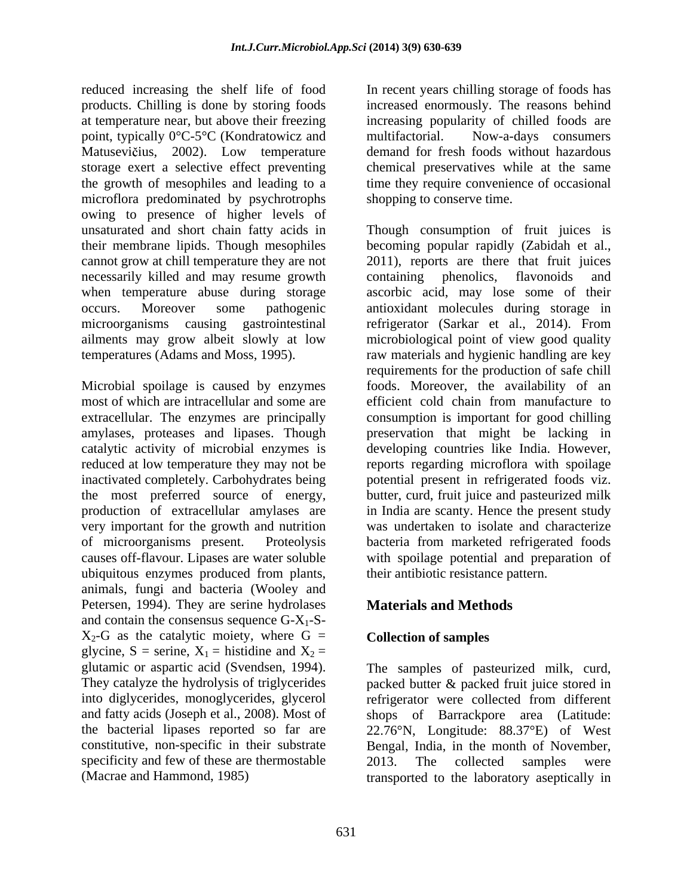reduced increasing the shelf life of food In recent years chilling storage of foods has products. Chilling is done by storing foods increased enormously. The reasons behind at temperature near, but above their freezing increasing popularity of chilled foods are point, typically 0°C-5°C (Kondratowicz and Matusevičius, 2002). Low temperature demand for fresh foods without hazardous storage exert a selective effect preventing the growth of mesophiles and leading to a time they require convenience of occasional microflora predominated by psychrotrophs owing to presence of higher levels of cannot grow at chill temperature they are not necessarily killed and may resume growth containing phenolics, flavonoids and

very important for the growth and nutrition ubiquitous enzymes produced from plants, animals, fungi and bacteria (Wooley and Petersen, 1994). They are serine hydrolases and contain the consensus sequence  $G-X_1-S$ - $X_2$ -G as the catalytic moiety, where G = glycine, S = serine,  $X_1$  = histidine and  $X_2$  = glutamic or aspartic acid (Svendsen, 1994). glutamic or aspartic acid (Svendsen, 1994). The samples of pasteurized milk, curd, They catalyze the hydrolysis of triglycerides packed butter & packed fruit juice stored in into diglycerides, monoglycerides, glycerol refrigerator were collected from different and fatty acids (Joseph et al., 2008). Most of shops of Barrackpore area (Latitude: the bacterial lipases reported so far are 22.76°N, Longitude: 88.37°E) of West constitutive, non-specific in their substrate Bengal, India, in the month of November, specificity and few of these are thermostable  $2013$ . The collected samples were

Now-a-days consumers chemical preservatives while at the same shopping to conserve time.

unsaturated and short chain fatty acids in Though consumption of fruit juices is their membrane lipids. Though mesophiles becoming popular rapidly (Zabidah et al., when temperature abuse during storage ascorbic acid, may lose some of their occurs. Moreover some pathogenic antioxidant molecules during storage in microorganisms causing gastrointestinal refrigerator (Sarkar et al., 2014). From ailments may grow albeit slowly at low microbiological point of view good quality temperatures (Adams and Moss, 1995). raw materials and hygienic handling are key Microbial spoilage is caused by enzymes foods. Moreover, the availability of an most of which are intracellular and some are efficient cold chain from manufacture to extracellular. The enzymes are principally consumption is important for good chilling amylases, proteases and lipases. Though preservation that might be lacking in catalytic activity of microbial enzymes is developing countries like India. However, reduced at low temperature they may not be reports regarding microflora with spoilage inactivated completely. Carbohydrates being potential present in refrigerated foods viz. the most preferred source of energy, butter, curd, fruit juice and pasteurized milk production of extracellular amylases are in India are scanty. Hence the present study of microorganisms present. Proteolysis bacteria from marketed refrigerated foods causes off-flavour. Lipases are water soluble with spoilage potential and preparation of 2011), reports are there that fruit juices containing phenolics, flavonoids and requirements for the production of safe chill was undertaken to isolate and characterize their antibiotic resistance pattern.

# **Materials and Methods**

# **Collection of samples**

(Macrae and Hammond, 1985) transported to the laboratory aseptically in2013. The collected samples were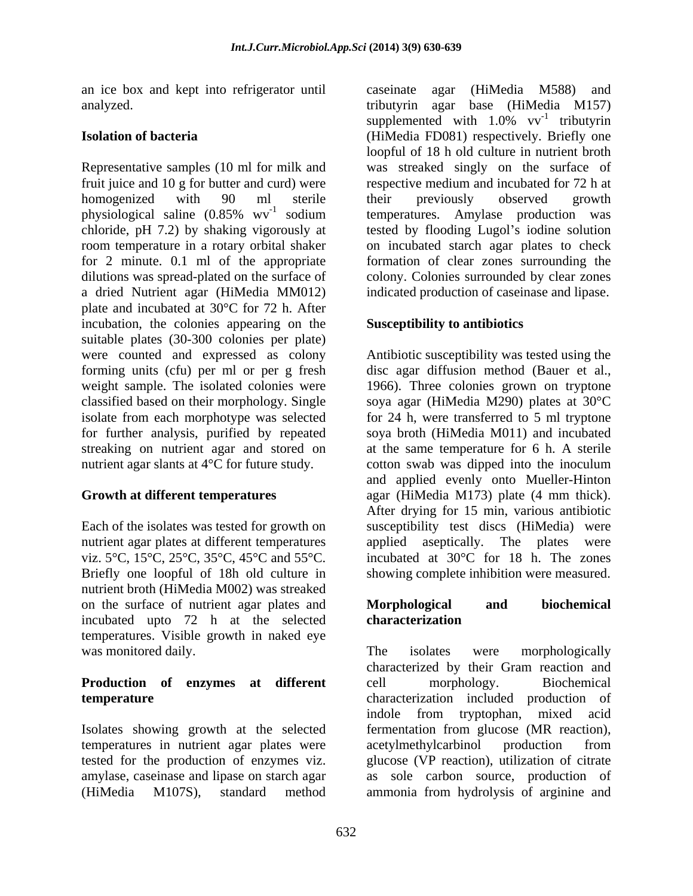an ice box and kept into refrigerator until

Representative samples (10 ml for milk and fruit juice and 10 g for butter and curd) were respective medium and incubated for 72 h at homogenized with 90 ml sterile physiological saline  $(0.85\% \text{ wV}^{-1})$  sodium chloride, pH 7.2) by shaking vigorously at tested by flooding Lugol's iodine solution room temperature in a rotary orbital shaker on incubated starch agar plates to check for 2 minute. 0.1 ml of the appropriate dilutions was spread-plated on the surface of colony. Colonies surrounded by clear zones a dried Nutrient agar (HiMedia MM012) plate and incubated at 30°C for 72 h. After incubation, the colonies appearing on the suitable plates (30-300 colonies per plate) were counted and expressed as colony Antibiotic susceptibility was tested using the forming units (cfu) per ml or per g fresh disc agar diffusion method (Bauer et al., weight sample. The isolated colonies were 1966). Three colonies grown on tryptone classified based on their morphology. Single soya agar (HiMedia M290) plates at 30°C isolate from each morphotype was selected for 24 h, were transferred to 5 ml tryptone for further analysis, purified by repeated streaking on nutrient agar and stored on at the same temperature for 6 h. A sterile nutrient agar slants at 4<sup>o</sup>C for future study. cotton swab was dipped into the inoculum

Briefly one loopful of 18h old culture in showing complete inhibition were measured. nutrient broth (HiMedia M002) was streaked on the surface of nutrient agar plates and **Morphological** and **biochemical** incubated upto 72 h at the selected temperatures. Visible growth in naked eye was monitored daily. The isolates were morphologically

# **Production of enzymes at different**

Isolates showing growth at the selected temperatures in nutrient agar plates were acetylmethylcarbinol production from tested for the production of enzymes viz.

analyzed. tributyrin agar base (HiMedia M157) **Isolation of bacteria** (HiMedia FD081) respectively. Briefly one <sup>-1</sup> sodium temperatures. Amylase production was caseinate agar (HiMedia M588) and supplemented with  $1.0\%$  vv<sup>-1</sup> tributyrin  $^{-1}$  tributyrin tributyrin loopful of 18 h old culture in nutrient broth was streaked singly on the surface of their previously observed growth formation of clear zones surrounding the indicated production of caseinase and lipase.

## **Susceptibility to antibiotics**

**Growth at different temperatures** agar (HiMedia M173) plate (4 mm thick). Each of the isolates was tested for growth on susceptibility test discs (HiMedia) were nutrient agar plates at different temperatures applied aseptically. The plates were viz. 5 $\degree$ C, 15 $\degree$ C, 25 $\degree$ C, 35 $\degree$ C, 45 $\degree$ C and 55 $\degree$ C. incubated at 30 $\degree$ C for 18 h. The zones disc agar diffusion method (Bauer et al.,1966). Three colonies grown on tryptone soya broth (HiMedia M011) and incubated and applied evenly onto Mueller-Hinton After drying for 15 min, various antibiotic

## **Morphological and biochemical characterization**

**temperature** characterization included production of amylase, caseinase and lipase on starch agar as sole carbon source, production of (HiMedia M107S), standard method ammonia from hydrolysis of arginine andThe isolates were morphologically characterized by their Gram reaction and cell morphology. Biochemical indole from tryptophan, mixed acid fermentation from glucose (MR reaction), acetylmethylcarbinol production from glucose (VP reaction), utilization of citrate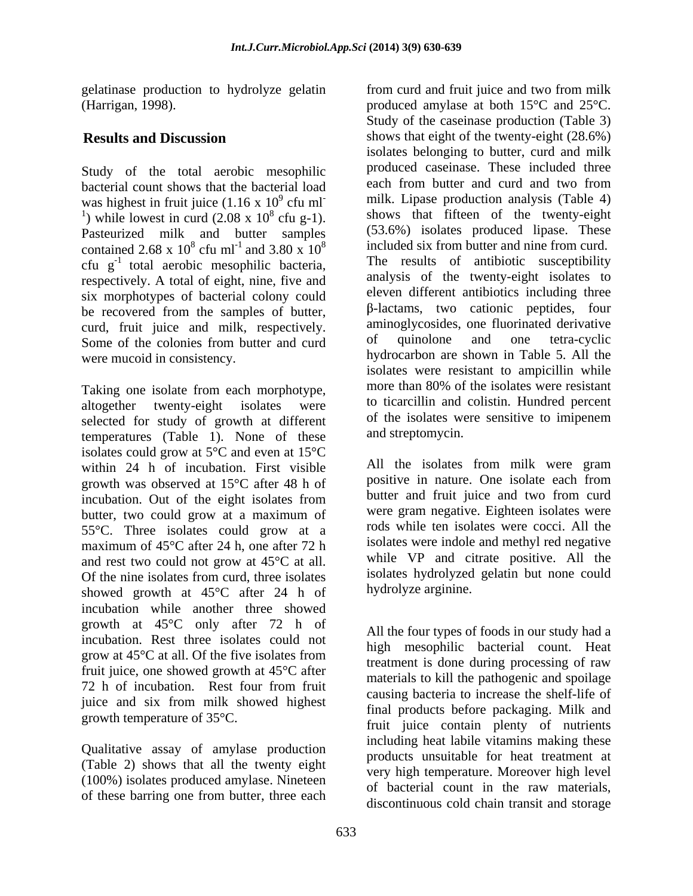gelatinase production to hydrolyze gelatin

Study of the total aerobic mesophilic bacterial count shows that the bacterial load was highest in fruit juice  $(1.16 \times 10^{9} \text{ cftu m}^{-1})$ <sup>1</sup>) while lowest in curd  $(2.08 \times 10^8 \text{ cftu g-1}).$ Pasteurized milk and butter samples contained 2.68 x  $10^8$  cfu ml<sup>-1</sup> and 3.80 x  $10^8$ respectively. A total of eight, nine, five and six morphotypes of bacterial colony could be recovered from the samples of butter, curd, fruit juice and milk, respectively. aminoglycosides, one fluorinated derivative<br>Some of the colonies from butter and curd of quinolone and one tetra-cyclic Some of the colonies from butter and curd

selected for study of growth at different temperatures (Table 1). None of these isolates could grow at 5°C and even at 15°C within 24 h of incubation. First visible growth was observed at 15°C after 48 h of incubation. Out of the eight isolates from butter, two could grow at a maximum of 55°C. Three isolates could grow at a maximum of 45°C after 24 h, one after 72 h and rest two could not grow at 45°C at all. Of the nine isolates from curd, three isolates showed growth at 45°C after 24 h of incubation while another three showed growth at 45°C only after 72 h of incubation. Rest three isolates could not grow at  $45^{\circ}$ C at all. Of the five isolates from  $\frac{m\pi}{2}$  in  $\frac{m\pi}{2}$  is done during processing of rew fruit juice, one showed growth at 45°C after 72 h of incubation. Rest four from fruit and particular to increase the sponds juice and six from milk showed highest growth temperature of 35°C.

Qualitative assay of amylase production (Table 2) shows that all the twenty eight (100%) isolates produced amylase. Nineteen of these barring one from butter, three each

(Harrigan, 1998). produced amylase at both 15°C and 25°C. **Results and Discussion** shows that eight of the twenty-eight (28.6%) <sup>9</sup> cfu ml<sup>-</sup> milk. Lipase production analysis (Table 4) was highest in fruit juice  $(1.16 \times 10^9 \text{ cftu m} \cdot \text{milk} \cdot \text{Lipase production analysis}$  (Table 4)<br>
here the twenty-eight 8 cfu g-1). shows that fifteen of the twenty-eight  $8 \text{ cftu} \text{ ml}^{-1}$  and 3.80 x  $10^8$  included six from butter and nine from curd. cfu g<sup>-1</sup> total aerobic mesophilic bacteria, The results of antibiotic susceptibility were mucoid in consistency. hydrocarbon are shown in Table 5. All the Taking one isolate from each morphotype, more than 80% of the isolates were resistant altogether twenty-eight isolates were to ticarcillin and colistin. Hundred percent from curd and fruit juice and two from milk Study of the caseinase production (Table 3) isolates belonging to butter, curd and milk produced caseinase. These included three each from butter and curd and two from (53.6%) isolates produced lipase. These The results of antibiotic susceptibility analysis of the twenty-eight isolates to eleven different antibiotics including three -lactams, two cationic peptides, four aminoglycosides, one fluorinated derivative of quinolone and one tetra-cyclic isolates were resistant to ampicillin while more than 80% of the isolates were resistant of the isolates were sensitive to imipenem and streptomycin.

> All the isolates from milk were gram positive in nature. One isolate each from butter and fruit juice and two from curd were gram negative. Eighteen isolates were rods while ten isolates were cocci. All the isolates were indole and methyl red negative while VP and citrate positive. All the isolates hydrolyzed gelatin but none could hydrolyze arginine.

> All the four types of foods in our study had a high mesophilic bacterial count. Heat treatment is done during processing of raw materials to kill the pathogenic and spoilage causing bacteria to increase the shelf-life of final products before packaging. Milk and fruit juice contain plenty of nutrients including heat labile vitamins making these products unsuitable for heat treatment at very high temperature. Moreover high level of bacterial count in the raw materials, discontinuous cold chain transit and storage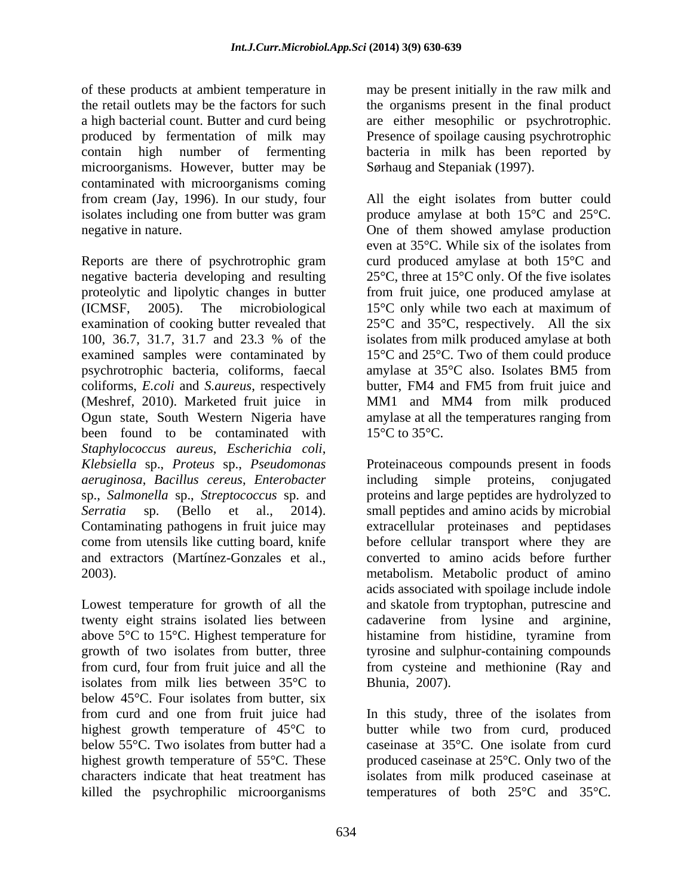of these products at ambient temperature in may be present initially in the raw milk and the retail outlets may be the factors for such the organisms present in the final product a high bacterial count. Butter and curd being are either mesophilic or psychrotrophic. produced by fermentation of milk may contain high number of fermenting bacteria in milk has been reported by microorganisms. However, butter may be contaminated with microorganisms coming

Reports are there of psychrotrophic gram curd produced amylase at both 15°C and negative bacteria developing and resulting proteolytic and lipolytic changes in butter from fruit juice, one produced amylase at (ICMSF, 2005). The microbiological 15°C only while two each at maximum of examination of cooking butter revealed that 25°C and 35°C, respectively. All the six 100, 36.7, 31.7, 31.7 and 23.3 % of the examined samples were contaminated by 15<sup>o</sup>C and 25<sup>o</sup>C. Two of them could produce psychrotrophic bacteria, coliforms, faecal amylase at 35°C also. Isolates BM5 from coliforms, *E.coli* and *S.aureus*, respectively butter, FM4 and FM5 from fruit juice and (Meshref, 2010). Marketed fruit juice in MM1 and MM4 from milk produced Ogun state, South Western Nigeria have amylase at all the temperatures ranging from been found to be contaminated with  $15^{\circ}$ C to  $35^{\circ}$ C. *Staphylococcus aureus*, *Escherichia coli*, *aeruginosa*, *Bacillus cereus*, *Enterobacter* 

above 5<sup>o</sup>C to 15<sup>o</sup>C. Highest temperature for histamine from histidine, tyramine from isolates from milk lies between 35°C to below 45°C. Four isolates from butter, six highest growth temperature of 45°C to killed the psychrophilic microorganisms temperatures of both 25°C and 35°C.

Presence of spoilage causing psychrotrophic Sørhaug and Stepaniak (1997).

from cream (Jay, 1996). In our study, four All the eight isolates from butter could isolates including one from butter was gram produce amylase at both 15°C and 25°C. negative in nature. One of them showed amylase production even at 35°C. While six of the isolates from 25°C, three at 15°C only. Of the five isolates isolates from milk produced amylase at both  $15^{\circ}$ C to  $35^{\circ}$ C.

*Klebsiella* sp., *Proteus* sp., *Pseudomonas*  Proteinaceous compounds present in foods sp., *Salmonella* sp., *Streptococcus* sp. and proteins and large peptides are hydrolyzed to *Serratia* sp. (Bello et al., 2014). small peptides and amino acids by microbial Contaminating pathogens in fruit juice may extracellular proteinases and peptidases come from utensils like cutting board, knife before cellular transport where they are and extractors (Martínez-Gonzales et al., converted to amino acids before further 2003). metabolism. Metabolic product of amino Lowest temperature for growth of all the and skatole from tryptophan, putrescine and twenty eight strains isolated lies between cadaverine from lysine and arginine, growth of two isolates from butter, three tyrosine and sulphur-containing compounds from curd, four from fruit juice and all the from cysteine and methionine (Ray and including simple proteins, conjugated acids associated with spoilage include indole histamine from histidine, tyramine from Bhunia, 2007).

from curd and one from fruit juice had In this study, three of the isolates from below 55°C. Two isolates from butter had a caseinase at 35°C. One isolate from curd highest growth temperature of 55<sup>o</sup>C. These produced caseinase at 25<sup>o</sup>C. Only two of the characters indicate that heat treatment has isolates from milk produced caseinase at butter while two from curd, produced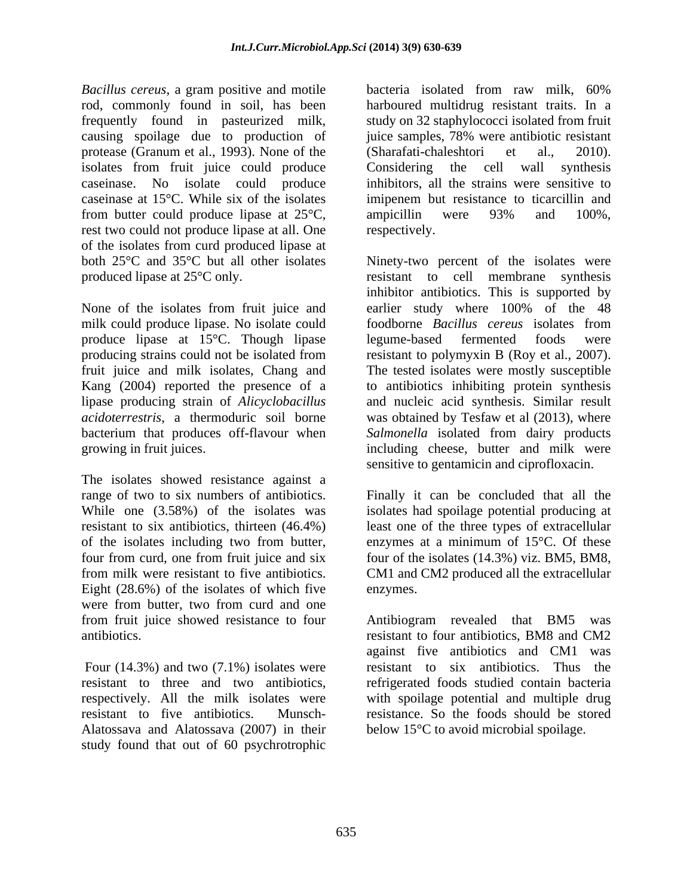*Bacillus cereus*, a gram positive and motile rod, commonly found in soil, has been frequently found in pasteurized milk, study on 32 staphylococci isolated from fruit causing spoilage due to production of protease (Granum et al., 1993). None of the (Sharafati-chaleshtori et al., 2010). isolates from fruit juice could produce Considering the cell wall synthesis caseinase. No isolate could produce inhibitors, all the strains were sensitive to caseinase at 15°C. While six of the isolates imipenem but resistance to ticarcillin and from butter could produce lipase at 25<sup>o</sup>C, ampicillin were 93% and 100%, rest two could not produce lipase at all. One respectively. of the isolates from curd produced lipase at

produce lipase at 15°C. Though lipase

The isolates showed resistance against a range of two to six numbers of antibiotics. Finally it can be concluded that all the While one (3.58%) of the isolates was isolates had spoilage potential producing at resistant to six antibiotics, thirteen (46.4%) least one of the three types of extracellular of the isolates including two from butter, enzymes at a minimum of 15°C. Of these four from curd, one from fruit juice and six four of the isolates (14.3%) viz. BM5, BM8, from milk were resistant to five antibiotics. CM1 and CM2 produced all the extracellular Eight (28.6%) of the isolates of which five enzymes. were from butter, two from curd and one from fruit juice showed resistance to four Antibiogram revealed that BM5 was

Four (14.3%) and two (7.1%) isolates were Alatossava and Alatossava (2007) in their study found that out of 60 psychrotrophic

bacteria isolated from raw milk, 60% harboured multidrug resistant traits. In a juice samples, 78% were antibiotic resistant (Sharafati-chaleshtori Considering the cell wall synthesis ampicillin were 93% and 100%, respectively.

both 25°C and 35°C but all other isolates Ninety-two percent of the isolates were produced lipase at 25<sup>°</sup>C only. The resistant to cell membrane synthesis None of the isolates from fruit juice and earlier study where 100% of the 48 milk could produce lipase. No isolate could foodborne *Bacillus cereus* isolates from producing strains could not be isolated from resistant to polymyxin B (Roy et al., 2007). fruit juice and milk isolates, Chang and The tested isolates were mostly susceptible Kang (2004) reported the presence of a to antibiotics inhibiting protein synthesis lipase producing strain of *Alicyclobacillus* and nucleic acid synthesis. Similar result *acidoterrestris*, a thermoduric soil borne was obtained by Tesfaw et al (2013), where bacterium that produces off-flavour when *Salmonella* isolated from dairy products growing in fruit juices. including cheese, butter and milk were inhibitor antibiotics. This is supported by legume-based fermented foods were sensitive to gentamicin and ciprofloxacin.

enzymes.

antibiotics. resistant to four antibiotics, BM8 and CM2 resistant to three and two antibiotics, refrigerated foods studied contain bacteria respectively. All the milk isolates were with spoilage potential and multiple drug resistant to five antibiotics. Munsch- resistance. So the foods should be stored Antibiogram revealed that BM5 was against five antibiotics and CM1 was resistant to six antibiotics. Thus the below 15°C to avoid microbial spoilage.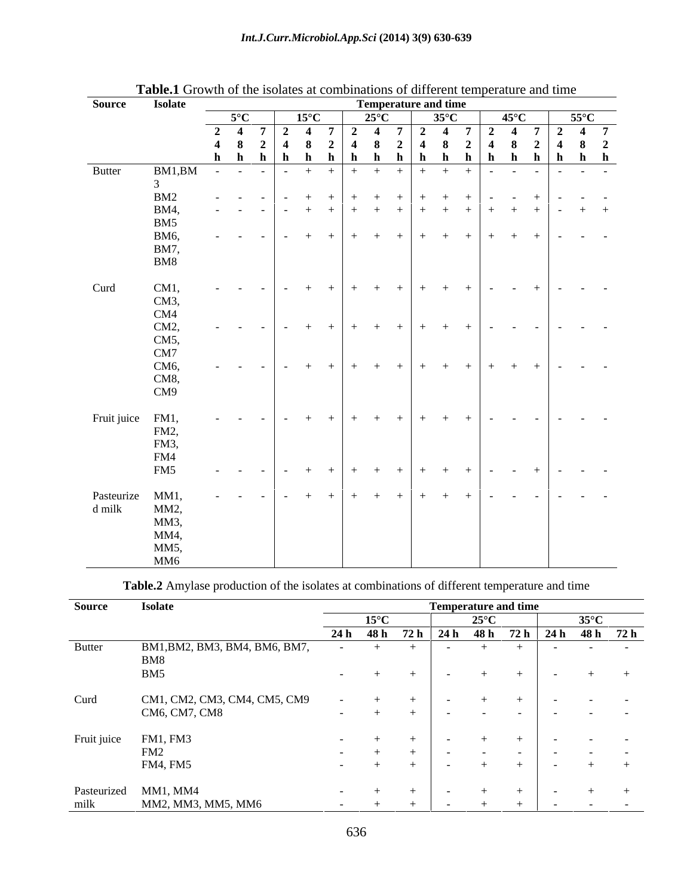| Source           | <b>Isolate</b>                               |               |  | <b>Temperature and time</b>    |                |  |                |                                           |  |
|------------------|----------------------------------------------|---------------|--|--------------------------------|----------------|--|----------------|-------------------------------------------|--|
|                  |                                              | $5^{\circ}$ C |  | $15^{\circ}$ C 25 $^{\circ}$ C | $35^{\circ}$ C |  | $45^{\circ}$ C | $55^{\circ}$ C                            |  |
|                  |                                              |               |  |                                |                |  |                | 2 4 7 2 4 7 2 4 7 2 4 7 2 4 7 2 4 7       |  |
|                  |                                              |               |  |                                |                |  |                | 4 8 2 4 8 2 4 8 2 4 8 2 4 8 2 4 8 2 4 8 2 |  |
|                  |                                              |               |  |                                |                |  |                | h h h h h h h h h h h h h h h h           |  |
| <b>Butter</b>    | BM1,BM - - - - + + + + + + + + + - - - - - - |               |  |                                |                |  |                |                                           |  |
|                  |                                              |               |  |                                |                |  |                |                                           |  |
|                  | BM2                                          |               |  |                                |                |  |                |                                           |  |
|                  | <b>BM4,</b>                                  |               |  |                                |                |  |                |                                           |  |
|                  | BM5                                          |               |  |                                |                |  |                |                                           |  |
|                  | <b>BM6.</b>                                  |               |  |                                |                |  |                |                                           |  |
|                  | <b>BM7,</b>                                  |               |  |                                |                |  |                |                                           |  |
|                  | BM8                                          |               |  |                                |                |  |                |                                           |  |
|                  |                                              |               |  |                                |                |  |                |                                           |  |
|                  |                                              |               |  |                                |                |  |                |                                           |  |
| Curd             | CM1,                                         |               |  |                                |                |  |                |                                           |  |
|                  | CM3,                                         |               |  |                                |                |  |                |                                           |  |
|                  | CM4                                          |               |  |                                |                |  |                |                                           |  |
|                  | CM2,                                         |               |  |                                |                |  |                |                                           |  |
|                  | CM5,                                         |               |  |                                |                |  |                |                                           |  |
|                  | CM7                                          |               |  |                                |                |  |                |                                           |  |
|                  | CM <sub>6</sub>                              |               |  |                                |                |  |                |                                           |  |
|                  | CM8,                                         |               |  |                                |                |  |                |                                           |  |
|                  | CM9                                          |               |  |                                |                |  |                |                                           |  |
|                  |                                              |               |  |                                |                |  |                |                                           |  |
| Fruit juice FM1, |                                              |               |  |                                |                |  |                |                                           |  |
|                  | FM2,                                         |               |  |                                |                |  |                |                                           |  |
|                  | FM3,                                         |               |  |                                |                |  |                |                                           |  |
|                  | FM4                                          |               |  |                                |                |  |                |                                           |  |
|                  | FM5                                          |               |  |                                |                |  |                |                                           |  |
|                  |                                              |               |  |                                |                |  |                |                                           |  |
| Pasteurize MM1,  |                                              |               |  |                                |                |  |                |                                           |  |
| d milk           | MM2,                                         |               |  |                                |                |  |                |                                           |  |
|                  | MM <sub>3</sub>                              |               |  |                                |                |  |                |                                           |  |
|                  |                                              |               |  |                                |                |  |                |                                           |  |
|                  |                                              |               |  |                                |                |  |                |                                           |  |
|                  | MM5                                          |               |  |                                |                |  |                |                                           |  |
|                  | MM6                                          |               |  |                                |                |  |                |                                           |  |

**Table.1** Growth of the isolates at combinations of different temperature and time

**Table.2** Amylase production of the isolates at combinations of different temperature and time

| Source        | <b>Isolate</b>                       |                          |                |  |                                      | <b>Temperature and time</b>    |                                |                                                    |  |
|---------------|--------------------------------------|--------------------------|----------------|--|--------------------------------------|--------------------------------|--------------------------------|----------------------------------------------------|--|
|               |                                      |                          | $15^{\circ}$ C |  | つちっへ                                 |                                |                                |                                                    |  |
|               |                                      |                          |                |  |                                      |                                |                                | $24 h$ 48 h 72 h $24 h$ 48 h 72 h $24 h$ 48 h 72 h |  |
| <b>Butter</b> | BM1, BM2, BM3, BM4, BM6, BM7,<br>BM8 | <b>Contract Contract</b> | $+$ $+$        |  | $ +$                                 |                                | <b>Contract Contract</b>       | and the company of the com-                        |  |
|               | BM5                                  |                          | $ +$           |  |                                      |                                | <b>Contract Contract</b>       | $+$ $+$                                            |  |
| Curd          | CM1, CM2, CM3, CM4, CM5, CM9         | $\sim$ $\sim$            |                |  |                                      |                                |                                | <b>Contract Contract State</b>                     |  |
|               | CM6, CM7, CM8                        | <b>Contract Contract</b> |                |  | the company's state of the company's |                                |                                | the company of the company of the                  |  |
|               | Fruit juice FM1, FM3                 |                          | $ +$           |  |                                      |                                |                                | the company's company's company's                  |  |
|               | FM2                                  |                          | $ +$           |  | the company of the company           | <b>Contract Contract State</b> | <b>Contract Contract State</b> | and the company of the                             |  |
|               | FM4, FM5                             |                          |                |  |                                      |                                |                                | $+$ $-$                                            |  |
|               | Pasteurized MM1, MM4                 |                          |                |  |                                      |                                |                                |                                                    |  |
| milk          | MM2, MM3, MM5, MM6                   |                          | $ +$ $+$       |  |                                      | $ +$ $+$ $+$ $+$               |                                | リー・エンジン エンジン エン                                    |  |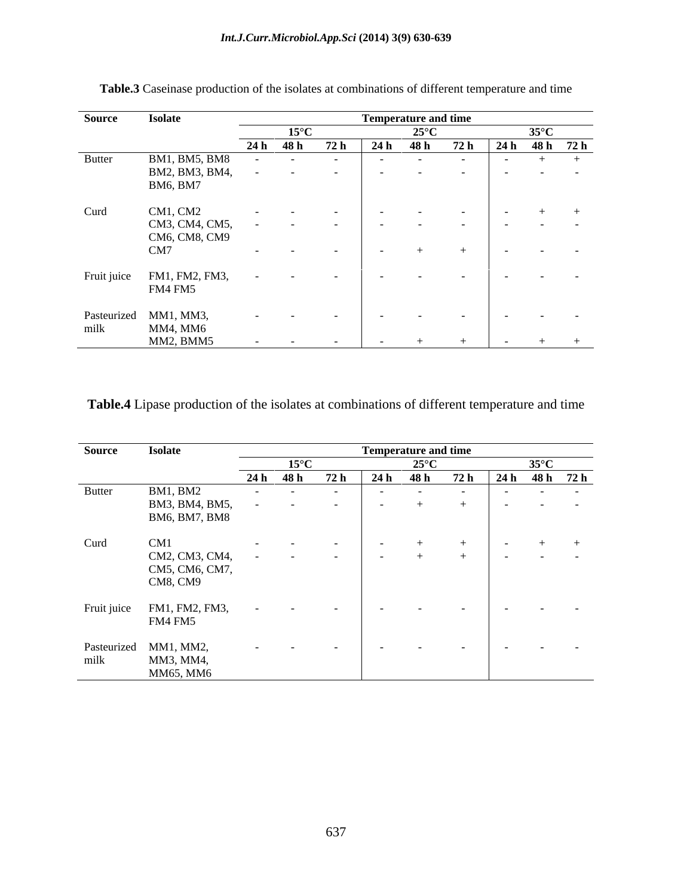| <b>Source</b> | <b>Isolate</b>                                                                                                 |                                                    |                             |  | <b>Temperature and time</b> |                                                                                                                                                                                                                                |                                                                                                                     |                                   |  |
|---------------|----------------------------------------------------------------------------------------------------------------|----------------------------------------------------|-----------------------------|--|-----------------------------|--------------------------------------------------------------------------------------------------------------------------------------------------------------------------------------------------------------------------------|---------------------------------------------------------------------------------------------------------------------|-----------------------------------|--|
|               |                                                                                                                | $\overline{15}^{\circ}$ C                          |                             |  | $25^{\circ}$ C              |                                                                                                                                                                                                                                |                                                                                                                     | 35° $\mathsf{C}$                  |  |
|               |                                                                                                                | 24 h 48 h                                          | 72 h                        |  |                             |                                                                                                                                                                                                                                |                                                                                                                     |                                   |  |
| <b>Butter</b> | BM1, BM5, BM8                                                                                                  |                                                    | the company of the company  |  |                             | and the contract of the contract of the contract of the contract of the contract of the contract of the contract of the contract of the contract of the contract of the contract of the contract of the contract of the contra |                                                                                                                     | $ +$ $+$                          |  |
|               | BM2, BM3, BM4,                                                                                                 |                                                    | and the company of the com- |  |                             |                                                                                                                                                                                                                                | and the contract of the contract of the contract of the contract of the contract of the contract of the contract of |                                   |  |
|               | BM6, BM7                                                                                                       |                                                    |                             |  |                             |                                                                                                                                                                                                                                |                                                                                                                     |                                   |  |
|               |                                                                                                                |                                                    |                             |  |                             |                                                                                                                                                                                                                                |                                                                                                                     |                                   |  |
| Curd          | CM1, CM2                                                                                                       | the company of the company of the                  |                             |  |                             |                                                                                                                                                                                                                                |                                                                                                                     |                                   |  |
|               | CM3, CM4, CM5,                                                                                                 | the control of the control of the con-             |                             |  |                             |                                                                                                                                                                                                                                | オー・ショット アンディー・オー・ショット かんしょう                                                                                         |                                   |  |
|               | CM6, CM8, CM9                                                                                                  |                                                    |                             |  |                             |                                                                                                                                                                                                                                |                                                                                                                     |                                   |  |
|               | CM7                                                                                                            |                                                    |                             |  |                             |                                                                                                                                                                                                                                |                                                                                                                     | the company of the company of the |  |
|               |                                                                                                                |                                                    |                             |  |                             |                                                                                                                                                                                                                                |                                                                                                                     |                                   |  |
|               | Fruit juice FM1, FM2, FM3, $\qquad \qquad - \qquad$ $\qquad \qquad - \qquad$ $\qquad \qquad - \qquad - \qquad$ |                                                    |                             |  |                             |                                                                                                                                                                                                                                |                                                                                                                     |                                   |  |
|               | FM4 FM5                                                                                                        |                                                    |                             |  |                             |                                                                                                                                                                                                                                |                                                                                                                     |                                   |  |
|               |                                                                                                                |                                                    |                             |  |                             |                                                                                                                                                                                                                                |                                                                                                                     |                                   |  |
|               | Pasteurized MM1, MM3,                                                                                          | 그는 그 그는 그 그는 그 사람들을 하고 있는 것이 없는 것이 없는 것이 없는 것이 없다. |                             |  |                             |                                                                                                                                                                                                                                |                                                                                                                     |                                   |  |
| milk          | MM4, MM6                                                                                                       |                                                    |                             |  |                             |                                                                                                                                                                                                                                |                                                                                                                     |                                   |  |
|               | MM2, BMM5                                                                                                      |                                                    |                             |  |                             |                                                                                                                                                                                                                                | $      +$ $+$ $ +$ $+$ $+$                                                                                          |                                   |  |

**Table.3** Caseinase production of the isolates at combinations of different temperature and time

## **Table.4** Lipase production of the isolates at combinations of different temperature and time

| Source        | <b>Isolate</b>             |                          |                                   |                                        |                                   | <b>Temperature and time</b> |                                   |          |                                      |  |
|---------------|----------------------------|--------------------------|-----------------------------------|----------------------------------------|-----------------------------------|-----------------------------|-----------------------------------|----------|--------------------------------------|--|
|               |                            |                          |                                   |                                        |                                   | $25^{\circ}$ C .            |                                   |          | $35^{\circ}C$                        |  |
|               |                            |                          | $24 h$ 48 h                       |                                        |                                   |                             |                                   |          | $72 h$ 24h 48h 72h 24h 48h 72h       |  |
| <b>Butter</b> | BM1, BM2                   |                          | the company of the company of     | <b>Contract Contract</b>               | the company of the company of     |                             | and the state of the              |          | the company's state of the company's |  |
|               | BM3, BM4, BM5,             | $\sim$ $-$               | <b>Contract Contract Contract</b> | <b>Contract Contract Contract</b>      |                                   | $ +$ $+$                    |                                   |          | the company of the company of the    |  |
|               | BM6, BM7, BM8              |                          |                                   |                                        |                                   |                             |                                   |          |                                      |  |
|               |                            |                          |                                   |                                        |                                   |                             |                                   |          |                                      |  |
| Curd          | CM1                        | <b>Contract Contract</b> | <b>Contract Contract</b>          | <b>Contract Contract Contract</b>      | <b>Service</b> State              |                             | $+$                               | $ +$ $-$ |                                      |  |
|               | CM2, CM3, CM4,             |                          | $\sim$ 100 $\pm$ 100 $\pm$        | $\sim 1000$ m $^{-1}$                  | <b>Committee</b>                  | $+$                         | $+$                               |          | the company of the company of the    |  |
|               | CM5, CM6, CM7,             |                          |                                   |                                        |                                   |                             |                                   |          |                                      |  |
|               | CM8, CM9                   |                          |                                   |                                        |                                   |                             |                                   |          |                                      |  |
|               |                            |                          |                                   |                                        |                                   |                             |                                   |          |                                      |  |
|               | Fruit juice FM1, FM2, FM3, | <b>Contract Contract</b> | <b>Contract Contract</b>          | <b>Contract Contract Contract</b>      | and the company of the company    |                             | <b>Contract Contract Contract</b> |          | the company's state of the company's |  |
|               | FM4 FM5                    |                          |                                   |                                        |                                   |                             |                                   |          |                                      |  |
|               |                            |                          |                                   |                                        |                                   |                             |                                   |          |                                      |  |
|               | Pasteurized MM1, MM2,      |                          |                                   | the control of the control of the con- | the company's company's company's |                             | <b>Contract Contract</b>          |          | the company's state of the company's |  |
| milk          | MM3, MM4,                  |                          |                                   |                                        |                                   |                             |                                   |          |                                      |  |
|               | MM65, MM6                  |                          |                                   |                                        |                                   |                             |                                   |          |                                      |  |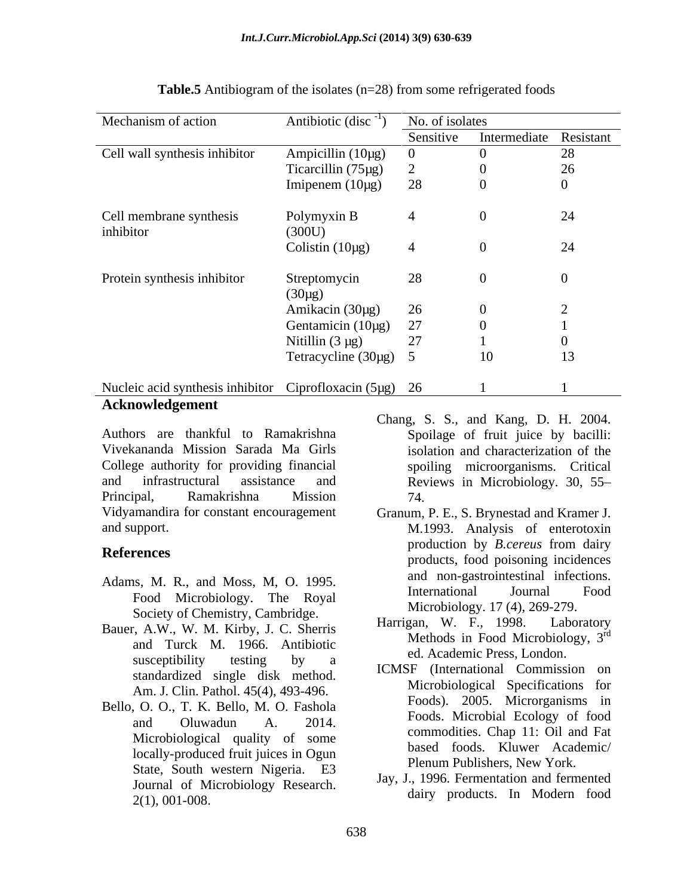| Mechanism of action                                     | Antibiotic (disc <sup>-1</sup> | No. of isolates |                        |    |  |  |
|---------------------------------------------------------|--------------------------------|-----------------|------------------------|----|--|--|
|                                                         |                                | Sensitive       | Intermediate Resistant |    |  |  |
| Cell wall synthesis inhibitor                           | Ampicillin $(10\mu g)$         | $\overline{0}$  |                        | 28 |  |  |
|                                                         | Ticarcillin $(75\mu g)$        |                 |                        | 26 |  |  |
|                                                         | Imipenem $(10\mu g)$           | 28              | $\theta$               |    |  |  |
| Cell membrane synthesis<br>inhibitor                    | Polymyxin B<br>(300U)          |                 |                        | 24 |  |  |
|                                                         | Colistin $(10\mu g)$           |                 | $\theta$               | 24 |  |  |
| Protein synthesis inhibitor                             | Streptomycin<br>$(30\mu g)$    | 28              | $\theta$               |    |  |  |
|                                                         | Amikacin (30µg)                | 26              | $\overline{0}$         |    |  |  |
|                                                         | Gentamicin (10µg)              | 27              |                        |    |  |  |
|                                                         | Nitillin $(3 \mu g)$           | 27              |                        |    |  |  |
|                                                         | Tetracycline (30µg) 5          |                 | 10                     | 13 |  |  |
| Nucleic acid synthesis inhibitor Ciprofloxacin (5µg) 26 |                                |                 |                        |    |  |  |

### **Table.5** Antibiogram of the isolates (n=28) from some refrigerated foods

## **Acknowledgement**

Authors are thankful to Ramakrishna Vivekananda Mission Sarada Ma Girls College authority for providing financial and infrastructural assistance and Reviews in Microbiology. 30, 55 Principal, Ramakrishna Mission

- Adams, M. R., and Moss, M. O. 1995.<br>International Journal Food
- Bauer, A.W., W. M. Kirby, J. C. Sherris and Turck M. 1966. Antibiotic susceptibility testing by a  $\overline{C}$  cu. Academic Fress, London.
- Bello, O. O., T. K. Bello, M. O. Fashola Microbiological quality of some locally-produced fruit juices in Ogun State, South western Nigeria. E3 Journal of Microbiology Research.<br>
2(1), 001-008. The Modern food dairy products. In Modern food
- Chang, S. S., and Kang, D. H. 2004. Spoilage of fruit juice by bacilli: isolation and characterization of the spoiling microorganisms. Critical 74.
- Vidyamandira for constant encouragement Granum, P. E., S. Brynestad and Kramer J. and support. M.1993. Analysis of enterotoxin **References**<br>
products, food poisoning incidences Food Microbiology. The Royal and the Humanonial countries is not too the room of the Royal production by *B.cereus* from dairy and non-gastrointestinal infections. International Journal Food Microbiology. 17 (4), 269-279.
	- Society of Chemistry, Cambridge.<br>
	Example 2001 Marrian, M. F., 1998. Laboratory Harrigan, W. F., 1998. Laboratory Methods in Food Microbiology, 3<sup>rd</sup> rd ed. Academic Press, London.
	- standardized single disk method.<br>Microbiological Specifications for<br>Microbiological Specifications for Am. J. Clin. Pathol. 45(4), 493-496.<br>
	Foods). 2005. Microganisms in and Oluwadun A.  $2014$ .  $1000$   $1000$   $1100$   $1100$ ICMSF (International Commission on Microbiological Specifications for Foods). 2005. Microrganisms in Foods. Microbial Ecology of food commodities. Chap 11: Oil and Fat based foods. Kluwer Academic/ Plenum Publishers, New York.
		- Jay, J., 1996. Fermentation and fermented dairy products. In Modern food